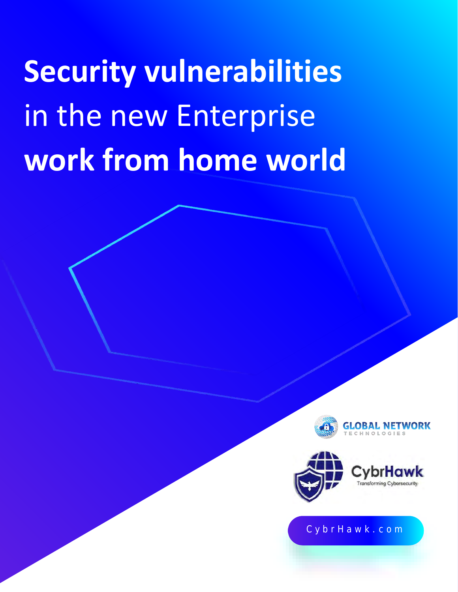# **Security vulnerabilities**  in the new Enterprise **work from home world**





#### C y b r H a w k . c o m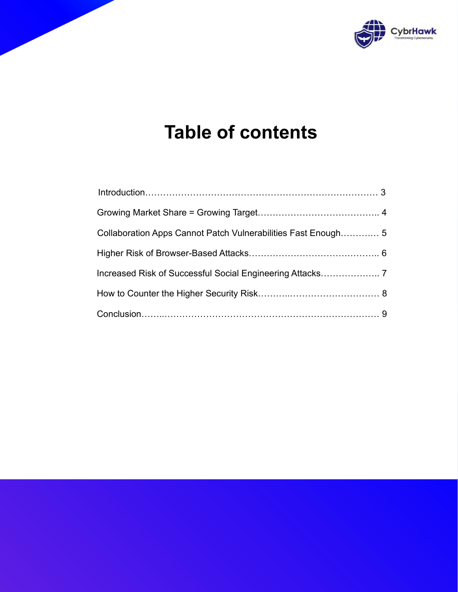

## **Table of contents**

| Collaboration Apps Cannot Patch Vulnerabilities Fast Enough 5 |  |
|---------------------------------------------------------------|--|
|                                                               |  |
|                                                               |  |
|                                                               |  |
|                                                               |  |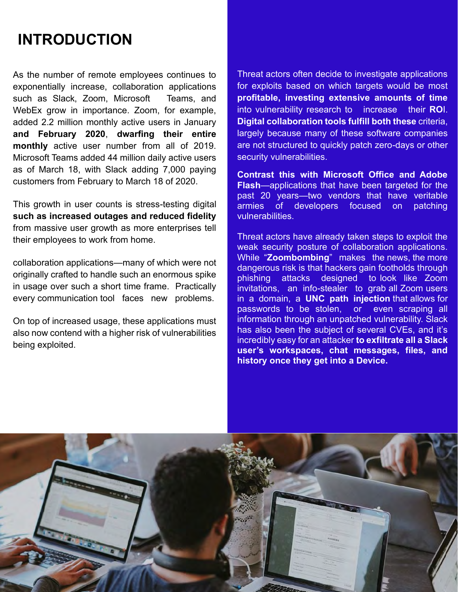## **INTRODUCTION**

As the number of remote employees continues to exponentially increase, collaboration applications such as Slack, Zoom, Microsoft Teams, and WebEx grow in importance. Zoom, for example, added 2.2 million monthly active users in January **and February 2020**, **dwarfing their entire monthly** active user number from all of 2019. Microsoft Teams added 44 million daily active users as of March 18, with Slack adding 7,000 paying customers from February to March 18 of 2020.

This growth in user counts is stress-testing digital **such as increased outages and reduced fidelity** from massive user growth as more enterprises tell their employees to work from home.

collaboration applications—many of which were not originally crafted to handle such an enormous spike in usage over such a short time frame. Practically every communication tool faces new problems.

On top of increased usage, these applications must also now contend with a higher risk of vulnerabilities being exploited.

Threat actors often decide to investigate applications for exploits based on which targets would be most **profitable, investing extensive amounts of time**  into vulnerability research to increase their **RO**I. **Digital collaboration tools fulfill both these** criteria, largely because many of these software companies are not structured to quickly patch zero-days or other security vulnerabilities.

**Contrast this with Microsoft Office and Adobe Flash**—applications that have been targeted for the past 20 years—two vendors that have veritable<br>armies of developers focused on patching of developers focused on patching vulnerabilities.

Threat actors have already taken steps to exploit the weak security posture of collaboration applications. While "**Zoombombing**" makes the news, the more dangerous risk is that hackers gain footholds through phishing attacks designed to look like Zoom invitations, an info-stealer to grab all Zoom users in a domain, a **UNC path injection** that allows for passwords to be stolen, information through an unpatched vulnerability. Slack has also been the subject of several CVEs, and it's incredibly easy for an attacker **to exfiltrate all a Slack user's workspaces, chat messages, files, and history once they get into a Device.**

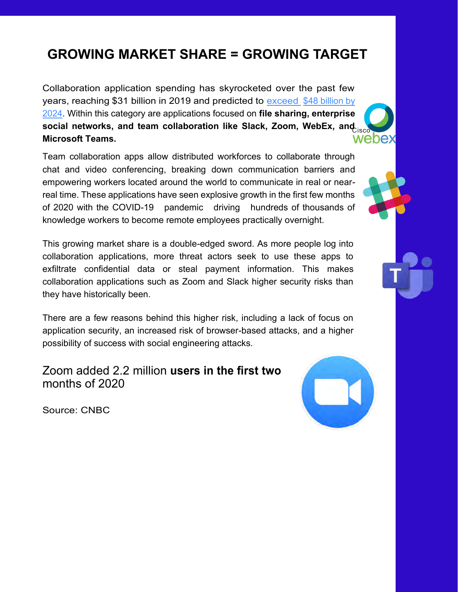### **GROWING MARKET SHARE = GROWING TARGET**

Collaboration application spending has skyrocketed over the past few years, reaching \$31 billion in 2019 and predicted to [exceed](https://www.marketsandmarkets.com/PressReleases/enterprise-collaboration.asp) [\\$48 billion by](https://www.marketsandmarkets.com/PressReleases/enterprise-collaboration.asp)  [2024.](https://www.marketsandmarkets.com/PressReleases/enterprise-collaboration.asp) Within this category are applications focused on **file sharing, enterprise**  social networks, and team collaboration like Slack, Zoom, WebEx, and so **Microsoft Teams.**

Team collaboration apps allow distributed workforces to collaborate through chat and video conferencing, breaking down communication barriers and empowering workers located around the world to communicate in real or nearreal time. These applications have seen explosive growth in the first few months of 2020 with the COVID-19 pandemic driving hundreds of thousands of knowledge workers to become remote employees practically overnight.

This growing market share is a double-edged sword. As more people log into collaboration applications, more threat actors seek to use these apps to exfiltrate confidential data or steal payment information. This makes collaboration applications such as Zoom and Slack higher security risks than they have historically been.

There are a few reasons behind this higher risk, including a lack of focus on application security, an increased risk of browser-based attacks, and a higher possibility of success with social engineering attacks.

Zoom added 2.2 million **users in the first two** months of 2020



Source: CNBC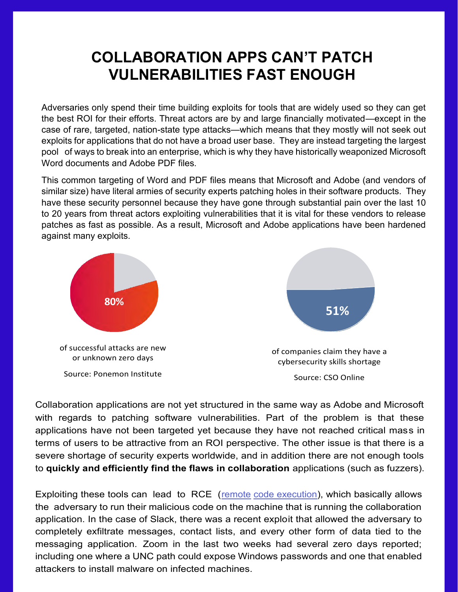## **COLLABORATION APPS CAN'T PATCH VULNERABILITIES FAST ENOUGH**

Adversaries only spend their time building exploits for tools that are widely used so they can get the best ROI for their efforts. Threat actors are by and large financially motivated—except in the case of rare, targeted, nation-state type attacks—which means that they mostly will not seek out exploits for applications that do not have a broad user base. They are instead targeting the largest pool of ways to break into an enterprise, which is why they have historically weaponized Microsoft Word documents and Adobe PDF files.

This common targeting of Word and PDF files means that Microsoft and Adobe (and vendors of similar size) have literal armies of security experts patching holes in their software products. They have these security personnel because they have gone through substantial pain over the last 10 to 20 years from threat actors exploiting vulnerabilities that it is vital for these vendors to release patches as fast as possible. As a result, Microsoft and Adobe applications have been hardened against many exploits.



Collaboration applications are not yet structured in the same way as Adobe and Microsoft with regards to patching software vulnerabilities. Part of the problem is that these applications have not been targeted yet because they have not reached critical mass in terms of users to be attractive from an ROI perspective. The other issue is that there is a severe shortage of security experts worldwide, and in addition there are not enough tools to **quickly and efficiently find the flaws in collaboration** applications (such as fuzzers).

Exploiting these tools can lead to RCE [\(remote](https://www.bleepingcomputer.com/news/security/exploit-for-zoom-windows-zero-day-being-sold-for-500-000/) [code execution\)](https://www.bleepingcomputer.com/news/security/exploit-for-zoom-windows-zero-day-being-sold-for-500-000/), which basically allows the adversary to run their malicious code on the machine that is running the collaboration application. In the case of Slack, there was a recent exploit that allowed the adversary to completely exfiltrate messages, contact lists, and every other form of data tied to the messaging application. Zoom in the last two weeks had several zero days reported; including one where a UNC path could expose Windows passwords and one that enabled attackers to install malware on infected machines.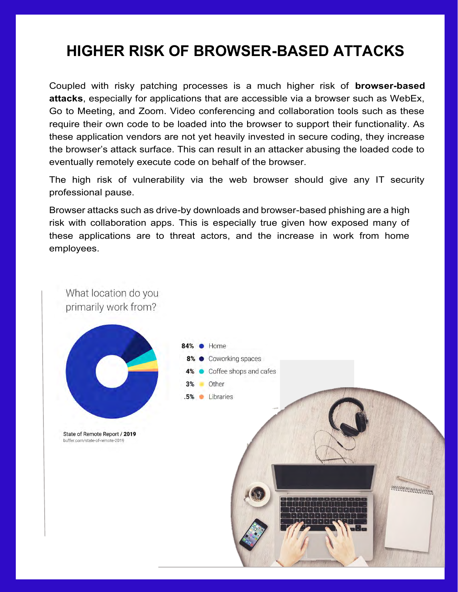## **HIGHER RISK OF BROWSER-BASED ATTACKS**

Coupled with risky patching processes is a much higher risk of **browser-based attacks**, especially for applications that are accessible via a browser such as WebEx, Go to Meeting, and Zoom. Video conferencing and collaboration tools such as these require their own code to be loaded into the browser to support their functionality. As these application vendors are not yet heavily invested in secure coding, they increase the browser's attack surface. This can result in an attacker abusing the loaded code to eventually remotely execute code on behalf of the browser.

The high risk of vulnerability via the web browser should give any IT security professional pause.

Browser attacks such as drive-by downloads and browser-based phishing are a high risk with collaboration apps. This is especially true given how exposed many of these applications are to threat actors, and the increase in work from home employees.

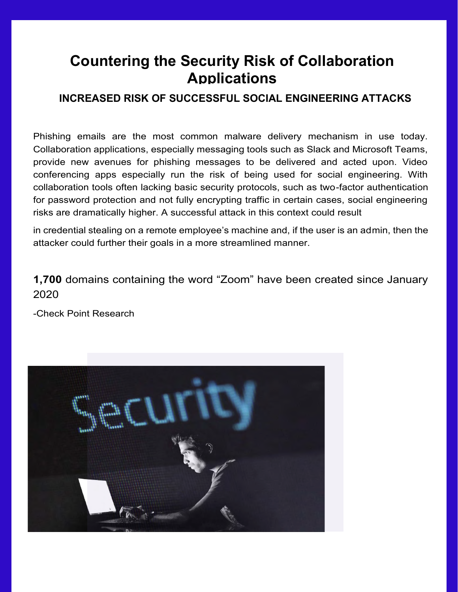### **Countering the Security Risk of Collaboration Applications**

#### **INCREASED RISK OF SUCCESSFUL SOCIAL ENGINEERING ATTACKS**

Phishing emails are the most common malware delivery mechanism in use today. Collaboration applications, especially messaging tools such as Slack and Microsoft Teams, provide new avenues for phishing messages to be delivered and acted upon. Video conferencing apps especially run the risk of being used for social engineering. With collaboration tools often lacking basic security protocols, such as two-factor authentication for password protection and not fully encrypting traffic in certain cases, social engineering risks are dramatically higher. A successful attack in this context could result

in credential stealing on a remote employee's machine and, if the user is an admin, then the attacker could further their goals in a more streamlined manner.

#### **1,700** domains containing the word "Zoom" have been created since January 2020

-Check Point Research

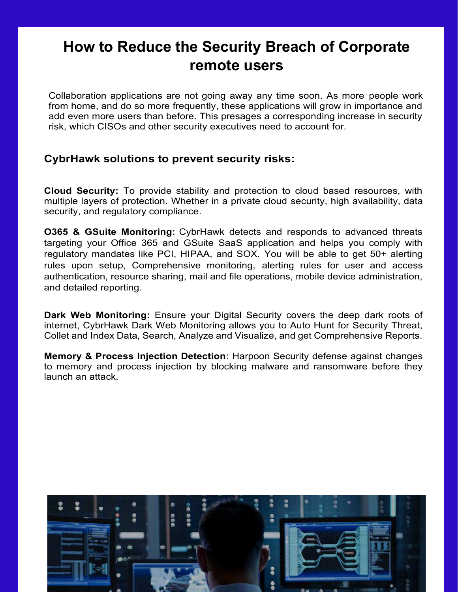### **How to Reduce the Security Breach of Corporate remote users**

Collaboration applications are not going away any time soon. As more people work from home, and do so more frequently, these applications will grow in importance and add even more users than before. This presages a corresponding increase in security risk, which CISOs and other security executives need to account for.

#### **CybrHawk solutions to prevent security risks:**

**Cloud Security:** To provide stability and protection to cloud based resources, with multiple layers of protection. Whether in a private cloud security, high availability, data security, and regulatory compliance.

**O365 & GSuite Monitoring:** CybrHawk detects and responds to advanced threats targeting your Office 365 and GSuite SaaS application and helps you comply with regulatory mandates like PCI, HIPAA, and SOX. You will be able to get 50+ alerting rules upon setup, Comprehensive monitoring, alerting rules for user and access authentication, resource sharing, mail and file operations, mobile device administration, and detailed reporting.

**Dark Web Monitoring:** Ensure your Digital Security covers the deep dark roots of internet, CybrHawk Dark Web Monitoring allows you to Auto Hunt for Security Threat, Collet and Index Data, Search, Analyze and Visualize, and get Comprehensive Reports.

**Memory & Process Injection Detection**: Harpoon Security defense against changes to memory and process injection by blocking malware and ransomware before they launch an attack.